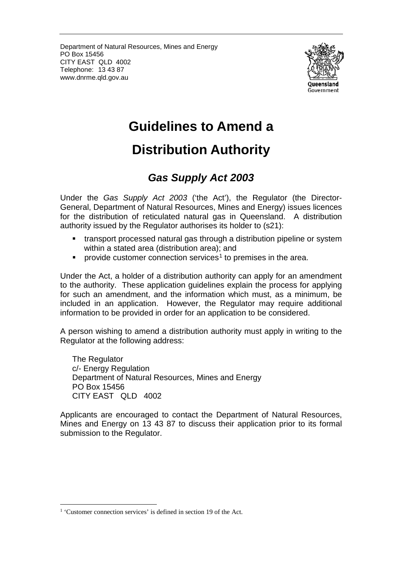Department of Natural Resources, Mines and Energy PO Box 15456 CITY EAST QLD 4002 Telephone: 13 43 87 www.dnrme.qld.gov.au



# **Guidelines to Amend a**

## **Distribution Authority**

### *Gas Supply Act 2003*

Under the *Gas Supply Act 2003* ('the Act'), the Regulator (the Director-General, Department of Natural Resources, Mines and Energy) issues licences for the distribution of reticulated natural gas in Queensland. A distribution authority issued by the Regulator authorises its holder to (s21):

- transport processed natural gas through a distribution pipeline or system within a stated area (distribution area); and
- **PEDECIST:** provide customer connection services<sup>[1](#page-0-0)</sup> to premises in the area.

Under the Act, a holder of a distribution authority can apply for an amendment to the authority. These application guidelines explain the process for applying for such an amendment, and the information which must, as a minimum, be included in an application. However, the Regulator may require additional information to be provided in order for an application to be considered.

A person wishing to amend a distribution authority must apply in writing to the Regulator at the following address:

The Regulator c/- Energy Regulation Department of Natural Resources, Mines and Energy PO Box 15456 CITY EAST QLD 4002

Applicants are encouraged to contact the Department of Natural Resources, Mines and Energy on 13 43 87 to discuss their application prior to its formal submission to the Regulator.

<span id="page-0-0"></span><sup>&</sup>lt;sup>1</sup> 'Customer connection services' is defined in section 19 of the Act.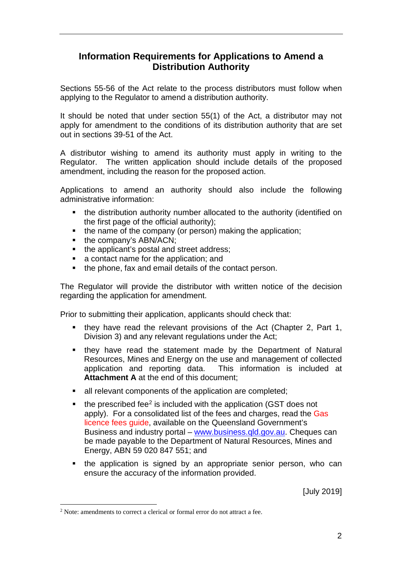#### **Information Requirements for Applications to Amend a Distribution Authority**

Sections 55-56 of the Act relate to the process distributors must follow when applying to the Regulator to amend a distribution authority.

It should be noted that under section 55(1) of the Act, a distributor may not apply for amendment to the conditions of its distribution authority that are set out in sections 39-51 of the Act.

A distributor wishing to amend its authority must apply in writing to the Regulator. The written application should include details of the proposed amendment, including the reason for the proposed action.

Applications to amend an authority should also include the following administrative information:

- the distribution authority number allocated to the authority (identified on the first page of the official authority);
- the name of the company (or person) making the application:
- the company's ABN/ACN;
- the applicant's postal and street address:
- a contact name for the application; and
- the phone, fax and email details of the contact person.

The Regulator will provide the distributor with written notice of the decision regarding the application for amendment.

Prior to submitting their application, applicants should check that:

- they have read the relevant provisions of the Act (Chapter 2, Part 1, Division 3) and any relevant regulations under the Act;
- **they have read the statement made by the Department of Natural** Resources, Mines and Energy on the use and management of collected application and reporting data. This information is included at **Attachment A** at the end of this document;
- all relevant components of the application are completed;
- $\bullet$  the prescribed fee<sup>2</sup> is included with the application (GST does not apply). For a consolidated list of the fees and charges, read the Gas licence fees guide, available on the Queensland Government's Business and industry portal – [www.business.qld.gov.au.](http://www.business.qld.gov.au/) Cheques can be made payable to the Department of Natural Resources, Mines and Energy, ABN 59 020 847 551; and
- the application is signed by an appropriate senior person, who can ensure the accuracy of the information provided.

[July 2019]

<span id="page-1-0"></span><sup>&</sup>lt;sup>2</sup> Note: amendments to correct a clerical or formal error do not attract a fee.